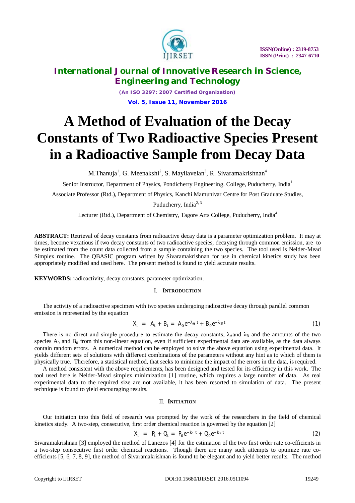

*(An ISO 3297: 2007 Certified Organization)* **Vol. 5, Issue 11, November 2016**

# **A Method of Evaluation of the Decay Constants of Two Radioactive Species Present in a Radioactive Sample from Decay Data**

M.Thanuja<sup>1</sup>, G. Meenakshi<sup>2</sup>, S. Mayilavelan<sup>3</sup>, R. Sivaramakrishnan<sup>4</sup>

Senior Instructor, Department of Physics, Pondicherry Engineering. College, Puducherry, India<sup>1</sup>

Associate Professor (Rtd.), Department of Physics, Kanchi Mamunivar Centre for Post Graduate Studies,

Puducherry, India<sup>2, 3</sup>

Lecturer (Rtd.), Department of Chemistry, Tagore Arts College, Puducherry, India<sup>4</sup>

**ABSTRACT:** Retrieval of decay constants from radioactive decay data is a parameter optimization problem. It may at times, become vexatious if two decay constants of two radioactive species, decaying through common emission, are to be estimated from the count data collected from a sample containing the two species. The tool used is Nelder-Mead Simplex routine. The QBASIC program written by Sivaramakrishnan for use in chemical kinetics study has been appropriately modified and used here. The present method is found to yield accurate results.

**KEYWORDS:** radioactivity, decay constants, parameter optimization.

#### I. **INTRODUCTION**

The activity of a radioactive specimen with two species undergoing radioactive decay through parallel common emission is represented by the equation

$$
X_{t} = A_{t} + B_{t} = A_{0}e^{-\lambda_{A}t} + B_{0}e^{-\lambda_{B}t}
$$
\n(1)

There is no direct and simple procedure to estimate the decay constants,  $\lambda_A$  and  $\lambda_B$  and the amounts of the two species  $A_0$  and  $B_0$  from this non-linear equation, even if sufficient experimental data are available, as the data always contain random errors. A numerical method can be employed to solve the above equation using experimental data. It yields different sets of solutions with different combinations of the parameters without any hint as to which of them is physically true. Therefore, a statistical method, that seeks to minimize the impact of the errors in the data, is required.

A method consistent with the above requirements, has been designed and tested for its efficiency in this work. The tool used here is Nelder-Mead simplex minimization [1] routine, which requires a large number of data. As real experimental data to the required size are not available, it has been resorted to simulation of data. The present technique is found to yield encouraging results.

#### II. **INITIATION**

Our initiation into this field of research was prompted by the work of the researchers in the field of chemical kinetics study. A two-step, consecutive, first order chemical reaction is governed by the equation [2]

$$
X_t = P_t + Q_t = P_0 e^{-k_1 t} + Q_0 e^{-k_2 t}
$$
 (2)

Sivaramakrishnan [3] employed the method of Lanczos [4] for the estimation of the two first order rate co-efficients in a two-step consecutive first order chemical reactions. Though there are many such attempts to optimize rate coefficients [5, 6, 7, 8, 9], the method of Sivaramakrishnan is found to be elegant and to yield better results. The method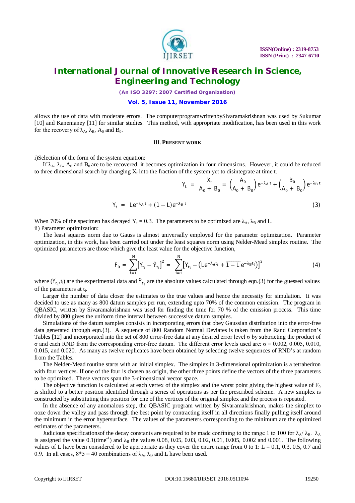

*(An ISO 3297: 2007 Certified Organization)*

#### **Vol. 5, Issue 11, November 2016**

allows the use of data with moderate errors. The computerprogramwrittenbySivaramakrishnan was used by Sukumar [10] and Kanemaney [11] for similar studies. This method, with appropriate modification, has been used in this work for the recovery of  $\lambda_A$ ,  $\lambda_B$ ,  $A_0$  and  $B_0$ .

#### III. **PRESENT WORK**

i)Selection of the form of the system equation:

If  $\lambda_A$ ,  $\lambda_B$ ,  $A_0$  and  $B_0$  are to be recovered, it becomes optimization in four dimensions. However, it could be reduced to three dimensional search by changing  $X_t$  into the fraction of the system yet to disintegrate at time t.

$$
Y_{t} = \frac{X_{t}}{A_{0} + B_{0}} = \left(\frac{A_{0}}{A_{0} + B_{0}}\right) e^{-\lambda_{A} t} + \left(\frac{B_{0}}{A_{0} + B_{0}}\right) e^{-\lambda_{B} t}
$$

$$
Y_t = Le^{-\lambda_A t} + (1 - L)e^{-\lambda_B t}
$$
 (3)

When 70% of the specimen has decayed  $Y_t = 0.3$ . The parameters to be optimized are  $\lambda_A$ ,  $\lambda_B$  and L. ii) Parameter optimization:

The least squares norm due to Gauss is almost universally employed for the parameter optimization. Parameter optimization, in this work, has been carried out under the least squares norm using Nelder-Mead simplex routine. The optimized parameters are those which give the least value for the objective function,

$$
F_0 = \sum_{i=1}^{N} [Y_{t_i} - \hat{Y}_{t_i}]^2 = \sum_{i=1}^{N} [Y_{t_i} - (Le^{-\lambda_A t_i} + \overline{1 - Le^{-\lambda_B t_i}})]^2
$$
(4)

where  $(Y_{t_i}, t_i)$  are the experimental data and  $\hat{Y}_{t_i}$  are the absolute values calculated through eqn.(3) for the guessed values of the parameters at t<sub>i</sub>.

Larger the number of data closer the estimates to the true values and hence the necessity for simulation. It was decided to use as many as 800 datum samples per run, extending upto 70% of the common emission. The program in QBASIC, written by Sivaramakrishnan was used for finding the time for 70 % of the emission process. This time divided by 800 gives the uniform time interval between successive datum samples.

Simulations of the datum samples consists in incorporating errors that obey Gaussian distribution into the error-free data generated through eqn.(3). A sequence of 800 Random Normal Deviates is taken from the Rand Corporation's Tables [12] and incorporated into the set of 800 error-free data at any desired error level σ by subtracting the product of σ and each RND from the corresponding error-free datum. The different error levels used are: σ = 0.002, 0.005, 0.010, 0.015, and 0.020. As many as twelve replicates have been obtained by selecting twelve sequences of RND's at random from the Tables.

The Nelder-Mead routine starts with an initial simplex. The simplex in 3-dimensional optimization is a tetrahedron with four vertices. If one of the four is chosen as origin, the other three points define the vectors of the three parameters to be optimized. These vectors span the 3-dimensional vector space.

The objective function is calculated at each vertex of the simplex and the worst point giving the highest value of  $F_0$ is shifted to a better position identified through a series of operations as per the prescribed scheme. A new simplex is constructed by substituting this position for one of the vertices of the original simplex and the process is repeated.

In the absence of any anomalous step, the QBASIC program written by Sivaramakrishnan, makes the simplex to ooze down the valley and pass through the best point by contracting itself in all directions finally pulling itself around the minimum in the error hypersurface. The values of the parameters corresponding to the minimum are the optimized estimates of the parameters.

Judicious specifications of the decay constants are required to be made confining to the range 1 to 100 for  $\lambda_A/\lambda_B$ .  $\lambda_A$ is assigned the value  $0.1$ (time<sup>-1</sup>) and  $\lambda_B$  the values 0.08, 0.05, 0.03, 0.02, 0.01, 0.005, 0.002 and 0.001. The following values of L have been considered to be appropriate as they cover the entire range from 0 to 1:  $L = 0.1, 0.3, 0.5, 0.7$  and 0.9. In all cases,  $8*5 = 40$  combinations of  $\lambda_A$ ,  $\lambda_B$  and L have been used.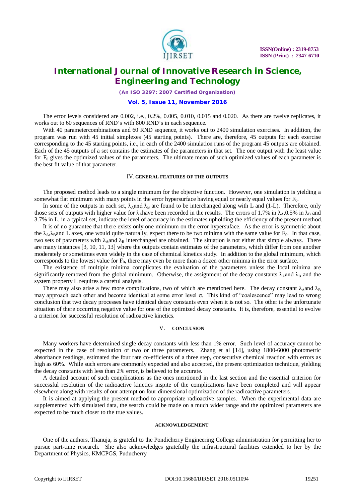

*(An ISO 3297: 2007 Certified Organization)*

#### **Vol. 5, Issue 11, November 2016**

The error levels considered are 0.002, i.e., 0.2%, 0.005, 0.010, 0.015 and 0.020. As there are twelve replicates, it works out to 60 sequences of RND's with 800 RND's in each sequence.

With 40 parametercombinations and 60 RND sequence, it works out to 2400 simulation exercises. In addition, the program was run with 45 initial simplexes (45 starting points). There are, therefore, 45 outputs for each exercise corresponding to the 45 starting points, i.e., in each of the 2400 simulation runs of the program 45 outputs are obtained. Each of the 45 outputs of a set contains the estimates of the parameters in that set. The one output with the least value for  $F_0$  gives the optimized values of the parameters. The ultimate mean of such optimized values of each parameter is the best fit value of that parameter.

#### IV. **GENERAL FEATURES OF THE OUTPUTS**

The proposed method leads to a single minimum for the objective function. However, one simulation is yielding a somewhat flat minimum with many points in the error hypersurface having equal or nearly equal values for  $F_0$ .

In some of the outputs in each set,  $\lambda_A$ and  $\lambda_B$  are found to be interchanged along with L and (1-L). Therefore, only those sets of outputs with higher value for  $\lambda_A$ have been recorded in the results. The errors of 1.7% in  $\lambda_A$ ,0.5% in  $\lambda_B$  and 3.7% in L, in a typical set, indicate the level of accuracy in the estimates upholding the efficiency of the present method.

It is of no guarantee that there exists only one minimum on the error hypersuface. As the error is symmetric about the  $\lambda_A$ ,  $\lambda_B$ and L axes, one would quite naturally, expect there to be two minima with the same value for  $F_0$ . In that case, two sets of parameters with  $\lambda_A$ and  $\lambda_B$  interchanged are obtained. The situation is not either that simple always. There are many instances [3, 10, 11, 13] where the outputs contain estimates of the parameters, which differ from one another moderately or sometimes even widely in the case of chemical kinetics study. In addition to the global minimum, which corresponds to the lowest value for  $F_0$ , there may even be more than a dozen other minima in the error surface.

The existence of multiple minima complicates the evaluation of the parameters unless the local minima are significantly removed from the global minimum. Otherwise, the assignment of the decay constants  $\lambda_A$  and  $\lambda_B$  and the system property L requires a careful analysis.

There may also arise a few more complications, two of which are mentioned here. The decay constant  $\lambda_A$ and  $\lambda_B$ may approach each other and become identical at some error level σ. This kind of "coalescence" may lead to wrong conclusion that two decay processes have identical decay constants even when it is not so. The other is the unfortunate situation of there occurring negative value for one of the optimized decay constants. It is, therefore, essential to evolve a criterion for successful resolution of radioactive kinetics.

#### V. **CONCLUSION**

Many workers have determined single decay constants with less than 1% error. Such level of accuracy cannot be expected in the case of resolution of two or three parameters. Zhang et al [14], using 1800-6000 photometric absorbance readings, estimated the four rate co-efficients of a three step, consecutive chemical reaction with errors as high as 60%. While such errors are commonly expected and also accepted, the present optimization technique, yielding the decay constants with less than 2% error, is believed to be accurate.

A detailed account of such complications as the ones mentioned in the last section and the essential criterion for successful resolution of the radioactive kinetics inspite of the complications have been completed and will appear elsewhere along with results of our attempt on four dimensional optimization of the radioactive parameters.

It is aimed at applying the present method to appropriate radioactive samples. When the experimental data are supplemented with simulated data, the search could be made on a much wider range and the optimized parameters are expected to be much closer to the true values.

#### **ACKNOWLEDGEMENT**

One of the authors, Thanuja, is grateful to the Pondicherry Engineering College administration for permitting her to pursue part-time research. She also acknowledges gratefully the infrastructural facilities extended to her by the Department of Physics, KMCPGS, Puducherry